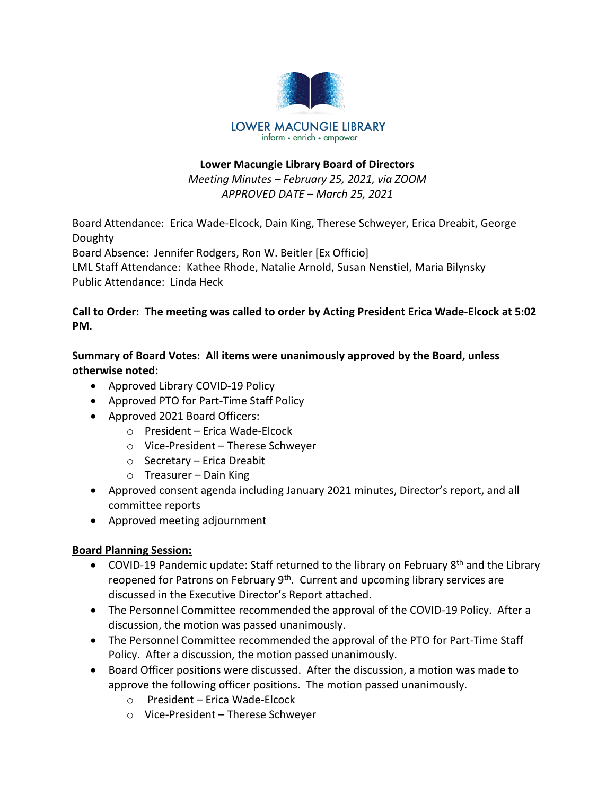

# **Lower Macungie Library Board of Directors**

*Meeting Minutes – February 25, 2021, via ZOOM APPROVED DATE – March 25, 2021*

Board Attendance: Erica Wade-Elcock, Dain King, Therese Schweyer, Erica Dreabit, George Doughty

Board Absence: Jennifer Rodgers, Ron W. Beitler [Ex Officio]

LML Staff Attendance: Kathee Rhode, Natalie Arnold, Susan Nenstiel, Maria Bilynsky Public Attendance: Linda Heck

# **Call to Order: The meeting was called to order by Acting President Erica Wade-Elcock at 5:02 PM.**

# **Summary of Board Votes: All items were unanimously approved by the Board, unless otherwise noted:**

- Approved Library COVID-19 Policy
- Approved PTO for Part-Time Staff Policy
- Approved 2021 Board Officers:
	- o President Erica Wade-Elcock
	- o Vice-President Therese Schweyer
	- o Secretary Erica Dreabit
	- $\circ$  Treasurer Dain King
- Approved consent agenda including January 2021 minutes, Director's report, and all committee reports
- Approved meeting adjournment

# **Board Planning Session:**

- COVID-19 Pandemic update: Staff returned to the library on February 8<sup>th</sup> and the Library reopened for Patrons on February 9<sup>th</sup>. Current and upcoming library services are discussed in the Executive Director's Report attached.
- The Personnel Committee recommended the approval of the COVID-19 Policy. After a discussion, the motion was passed unanimously.
- The Personnel Committee recommended the approval of the PTO for Part-Time Staff Policy. After a discussion, the motion passed unanimously.
- Board Officer positions were discussed. After the discussion, a motion was made to approve the following officer positions. The motion passed unanimously.
	- o President Erica Wade-Elcock
	- o Vice-President Therese Schweyer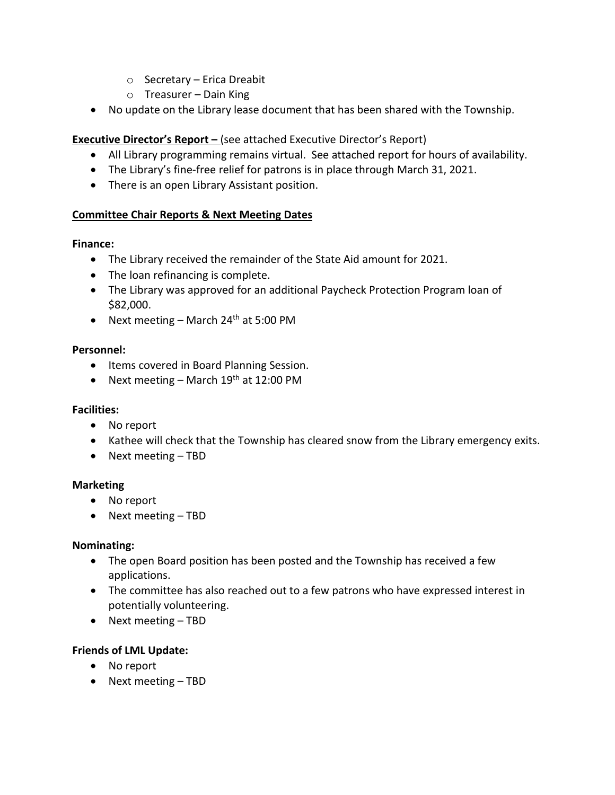- o Secretary Erica Dreabit
- $\circ$  Treasurer Dain King
- No update on the Library lease document that has been shared with the Township.

### **Executive Director's Report –** (see attached Executive Director's Report)

- All Library programming remains virtual. See attached report for hours of availability.
- The Library's fine-free relief for patrons is in place through March 31, 2021.
- There is an open Library Assistant position.

# **Committee Chair Reports & Next Meeting Dates**

#### **Finance:**

- The Library received the remainder of the State Aid amount for 2021.
- The loan refinancing is complete.
- The Library was approved for an additional Paycheck Protection Program loan of \$82,000.
- Next meeting March 24<sup>th</sup> at 5:00 PM

#### **Personnel:**

- Items covered in Board Planning Session.
- Next meeting March  $19<sup>th</sup>$  at 12:00 PM

# **Facilities:**

- No report
- Kathee will check that the Township has cleared snow from the Library emergency exits.
- Next meeting TBD

#### **Marketing**

- No report
- Next meeting TBD

#### **Nominating:**

- The open Board position has been posted and the Township has received a few applications.
- The committee has also reached out to a few patrons who have expressed interest in potentially volunteering.
- Next meeting TBD

# **Friends of LML Update:**

- No report
- Next meeting TBD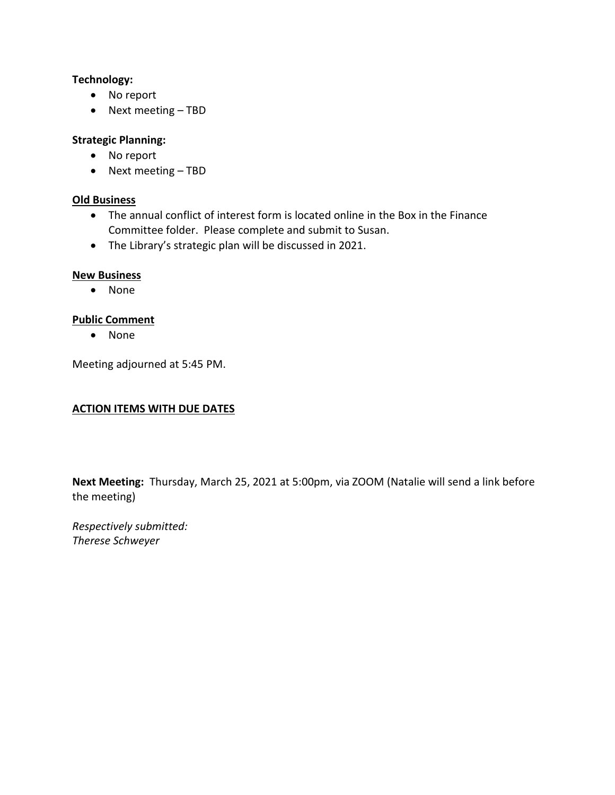#### **Technology:**

- No report
- Next meeting TBD

# **Strategic Planning:**

- No report
- Next meeting TBD

#### **Old Business**

- The annual conflict of interest form is located online in the Box in the Finance Committee folder. Please complete and submit to Susan.
- The Library's strategic plan will be discussed in 2021.

#### **New Business**

• None

# **Public Comment**

• None

Meeting adjourned at 5:45 PM.

# **ACTION ITEMS WITH DUE DATES**

**Next Meeting:** Thursday, March 25, 2021 at 5:00pm, via ZOOM (Natalie will send a link before the meeting)

*Respectively submitted: Therese Schweyer*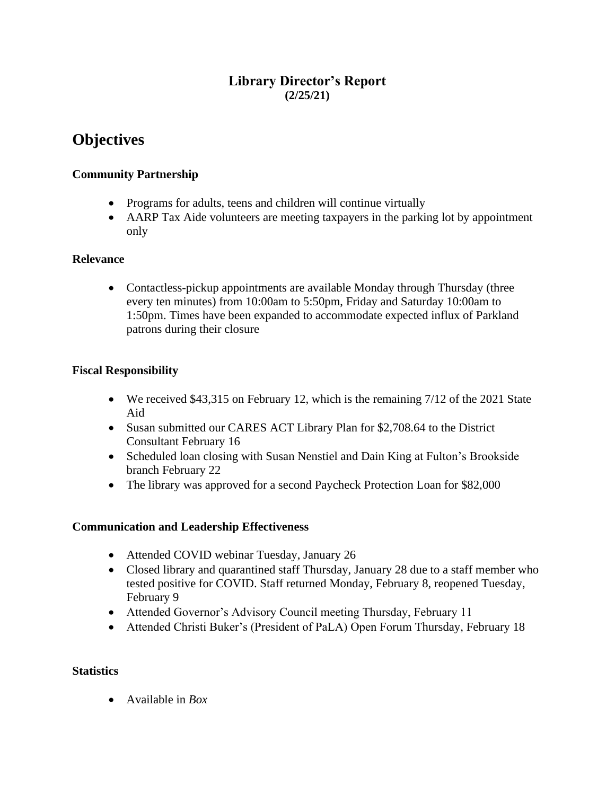# **Library Director's Report (2/25/21)**

# **Objectives**

# **Community Partnership**

- Programs for adults, teens and children will continue virtually
- AARP Tax Aide volunteers are meeting taxpayers in the parking lot by appointment only

# **Relevance**

• Contactless-pickup appointments are available Monday through Thursday (three every ten minutes) from 10:00am to 5:50pm, Friday and Saturday 10:00am to 1:50pm. Times have been expanded to accommodate expected influx of Parkland patrons during their closure

# **Fiscal Responsibility**

- We received \$43,315 on February 12, which is the remaining 7/12 of the 2021 State Aid
- Susan submitted our CARES ACT Library Plan for \$2,708.64 to the District Consultant February 16
- Scheduled loan closing with Susan Nenstiel and Dain King at Fulton's Brookside branch February 22
- The library was approved for a second Paycheck Protection Loan for \$82,000

# **Communication and Leadership Effectiveness**

- Attended COVID webinar Tuesday, January 26
- Closed library and quarantined staff Thursday, January 28 due to a staff member who tested positive for COVID. Staff returned Monday, February 8, reopened Tuesday, February 9
- Attended Governor's Advisory Council meeting Thursday, February 11
- Attended Christi Buker's (President of PaLA) Open Forum Thursday, February 18

# **Statistics**

• Available in *Box*